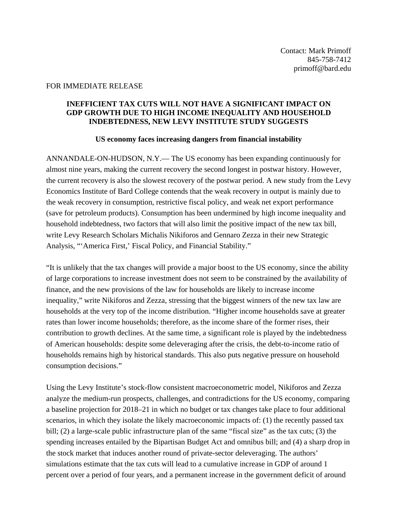## FOR IMMEDIATE RELEASE

## **INEFFICIENT TAX CUTS WILL NOT HAVE A SIGNIFICANT IMPACT ON GDP GROWTH DUE TO HIGH INCOME INEQUALITY AND HOUSEHOLD INDEBTEDNESS, NEW LEVY INSTITUTE STUDY SUGGESTS**

## **US economy faces increasing dangers from financial instability**

ANNANDALE-ON-HUDSON, N.Y.— The US economy has been expanding continuously for almost nine years, making the current recovery the second longest in postwar history. However, the current recovery is also the slowest recovery of the postwar period. A new study from the Levy Economics Institute of Bard College contends that the weak recovery in output is mainly due to the weak recovery in consumption, restrictive fiscal policy, and weak net export performance (save for petroleum products). Consumption has been undermined by high income inequality and household indebtedness, two factors that will also limit the positive impact of the new tax bill, write Levy Research Scholars Michalis Nikiforos and Gennaro Zezza in their new Strategic Analysis, "'America First,' Fiscal Policy, and Financial Stability."

"It is unlikely that the tax changes will provide a major boost to the US economy, since the ability of large corporations to increase investment does not seem to be constrained by the availability of finance, and the new provisions of the law for households are likely to increase income inequality," write Nikiforos and Zezza, stressing that the biggest winners of the new tax law are households at the very top of the income distribution. "Higher income households save at greater rates than lower income households; therefore, as the income share of the former rises, their contribution to growth declines. At the same time, a significant role is played by the indebtedness of American households: despite some deleveraging after the crisis, the debt-to-income ratio of households remains high by historical standards. This also puts negative pressure on household consumption decisions."

Using the Levy Institute's stock-flow consistent macroeconometric model, Nikiforos and Zezza analyze the medium-run prospects, challenges, and contradictions for the US economy, comparing a baseline projection for 2018–21 in which no budget or tax changes take place to four additional scenarios, in which they isolate the likely macroeconomic impacts of: (1) the recently passed tax bill; (2) a large-scale public infrastructure plan of the same "fiscal size" as the tax cuts; (3) the spending increases entailed by the Bipartisan Budget Act and omnibus bill; and (4) a sharp drop in the stock market that induces another round of private-sector deleveraging. The authors' simulations estimate that the tax cuts will lead to a cumulative increase in GDP of around 1 percent over a period of four years, and a permanent increase in the government deficit of around